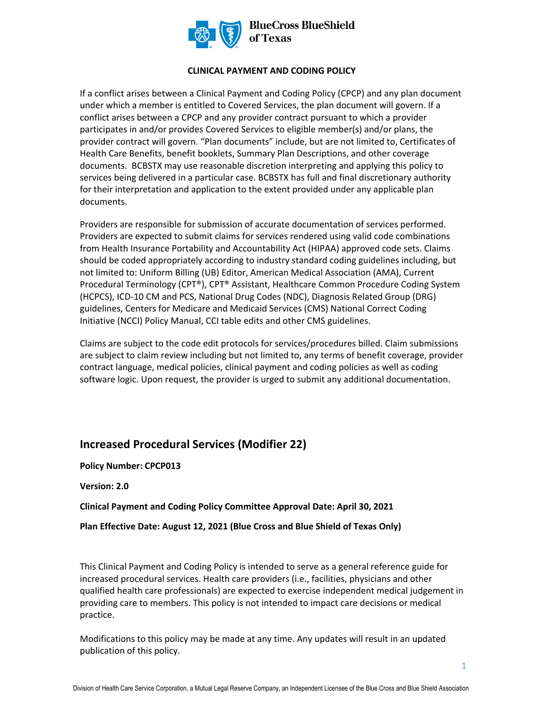

#### **CLINICAL PAYMENT AND CODING POLICY**

If a conflict arises between a Clinical Payment and Coding Policy (CPCP) and any plan document under which a member is entitled to Covered Services, the plan document will govern. If a conflict arises between a CPCP and any provider contract pursuant to which a provider participates in and/or provides Covered Services to eligible member(s) and/or plans, the provider contract will govern. "Plan documents" include, but are not limited to, Certificates of Health Care Benefits, benefit booklets, Summary Plan Descriptions, and other coverage documents. BCBSTX may use reasonable discretion interpreting and applying this policy to services being delivered in a particular case. BCBSTX has full and final discretionary authority for their interpretation and application to the extent provided under any applicable plan documents.

Providers are responsible for submission of accurate documentation of services performed. Providers are expected to submit claims for services rendered using valid code combinations from Health Insurance Portability and Accountability Act (HIPAA) approved code sets. Claims should be coded appropriately according to industry standard coding guidelines including, but not limited to: Uniform Billing (UB) Editor, American Medical Association (AMA), Current Procedural Terminology (CPT®), CPT® Assistant, Healthcare Common Procedure Coding System (HCPCS), ICD-10 CM and PCS, National Drug Codes (NDC), Diagnosis Related Group (DRG) guidelines, Centers for Medicare and Medicaid Services (CMS) National Correct Coding Initiative (NCCI) Policy Manual, CCI table edits and other CMS guidelines.

Claims are subject to the code edit protocols for services/procedures billed. Claim submissions are subject to claim review including but not limited to, any terms of benefit coverage, provider contract language, medical policies, clinical payment and coding policies as well as coding software logic. Upon request, the provider is urged to submit any additional documentation.

## **Increased Procedural Services (Modifier 22)**

**Policy Number: CPCP013** 

**Version: 2.0** 

**Clinical Payment and Coding Policy Committee Approval Date: April 30, 2021** 

**Plan Effective Date: August 12, 2021 (Blue Cross and Blue Shield of Texas Only)** 

This Clinical Payment and Coding Policy is intended to serve as a general reference guide for increased procedural services. Health care providers (i.e., facilities, physicians and other qualified health care professionals) are expected to exercise independent medical judgement in providing care to members. This policy is not intended to impact care decisions or medical practice.

Modifications to this policy may be made at any time. Any updates will result in an updated publication of this policy.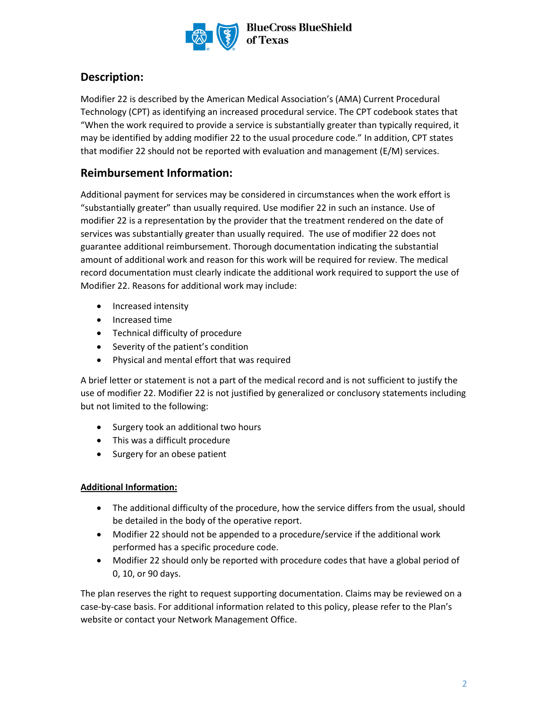

# **Description:**

Modifier 22 is described by the American Medical Association's (AMA) Current Procedural Technology (CPT) as identifying an increased procedural service. The CPT codebook states that "When the work required to provide a service is substantially greater than typically required, it may be identified by adding modifier 22 to the usual procedure code." In addition, CPT states that modifier 22 should not be reported with evaluation and management (E/M) services.

# **Reimbursement Information:**

Additional payment for services may be considered in circumstances when the work effort is "substantially greater" than usually required. Use modifier 22 in such an instance. Use of modifier 22 is a representation by the provider that the treatment rendered on the date of services was substantially greater than usually required. The use of modifier 22 does not guarantee additional reimbursement. Thorough documentation indicating the substantial amount of additional work and reason for this work will be required for review. The medical record documentation must clearly indicate the additional work required to support the use of Modifier 22. Reasons for additional work may include:

- Increased intensity
- Increased time
- Technical difficulty of procedure
- Severity of the patient's condition
- Physical and mental effort that was required

A brief letter or statement is not a part of the medical record and is not sufficient to justify the use of modifier 22. Modifier 22 is not justified by generalized or conclusory statements including but not limited to the following:

- Surgery took an additional two hours
- This was a difficult procedure
- Surgery for an obese patient

#### **Additional Information:**

- The additional difficulty of the procedure, how the service differs from the usual, should be detailed in the body of the operative report.
- Modifier 22 should not be appended to a procedure/service if the additional work performed has a specific procedure code.
- Modifier 22 should only be reported with procedure codes that have a global period of 0, 10, or 90 days.

The plan reserves the right to request supporting documentation. Claims may be reviewed on a case-by-case basis. For additional information related to this policy, please refer to the Plan's website or contact your Network Management Office.